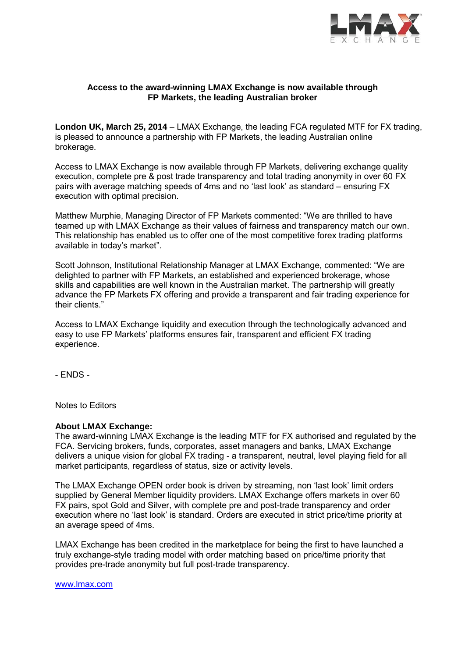

# **Access to the award-winning LMAX Exchange is now available through FP Markets, the leading Australian broker**

**London UK, March 25, 2014** – LMAX Exchange, the leading FCA regulated MTF for FX trading, is pleased to announce a partnership with FP Markets, the leading Australian online brokerage.

Access to LMAX Exchange is now available through FP Markets, delivering exchange quality execution, complete pre & post trade transparency and total trading anonymity in over 60 FX pairs with average matching speeds of 4ms and no 'last look' as standard – ensuring FX execution with optimal precision.

Matthew Murphie, Managing Director of FP Markets commented: "We are thrilled to have teamed up with LMAX Exchange as their values of fairness and transparency match our own. This relationship has enabled us to offer one of the most competitive forex trading platforms available in today's market".

Scott Johnson, Institutional Relationship Manager at LMAX Exchange, commented: "We are delighted to partner with FP Markets, an established and experienced brokerage, whose skills and capabilities are well known in the Australian market. The partnership will greatly advance the FP Markets FX offering and provide a transparent and fair trading experience for their clients."

Access to LMAX Exchange liquidity and execution through the technologically advanced and easy to use FP Markets' platforms ensures fair, transparent and efficient FX trading experience.

- ENDS -

Notes to Editors

## **About LMAX Exchange:**

The award-winning LMAX Exchange is the leading MTF for FX authorised and regulated by the FCA. Servicing brokers, funds, corporates, asset managers and banks, LMAX Exchange delivers a unique vision for global FX trading - a transparent, neutral, level playing field for all market participants, regardless of status, size or activity levels.

The LMAX Exchange OPEN order book is driven by streaming, non 'last look' limit orders supplied by General Member liquidity providers. LMAX Exchange offers markets in over 60 FX pairs, spot Gold and Silver, with complete pre and post-trade transparency and order execution where no 'last look' is standard. Orders are executed in strict price/time priority at an average speed of 4ms.

LMAX Exchange has been credited in the marketplace for being the first to have launched a truly exchange-style trading model with order matching based on price/time priority that provides pre-trade anonymity but full post-trade transparency.

#### [www.lmax.com](http://www.lmax.com/)